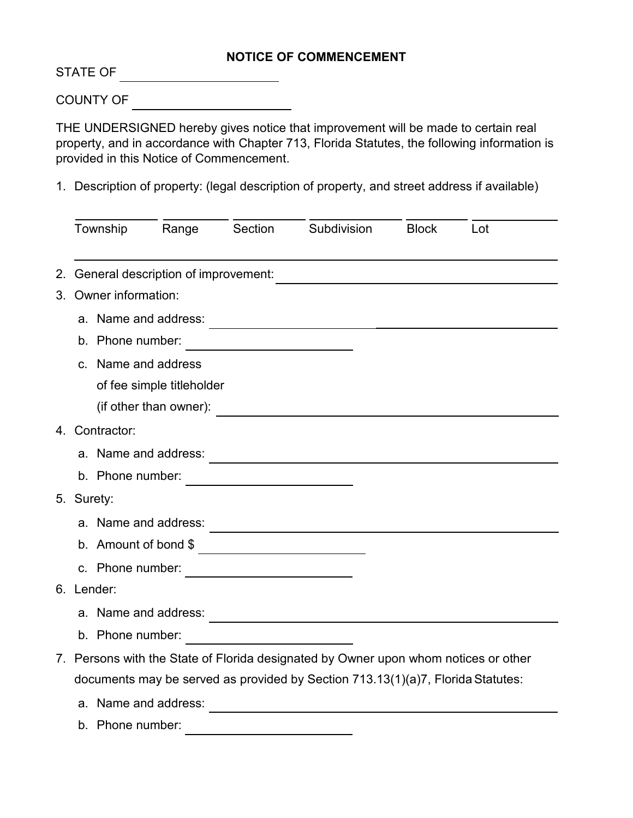## **NOTICE OF COMMENCEMENT**

STATE OF

COUNTY OF

THE UNDERSIGNED hereby gives notice that improvement will be made to certain real property, and in accordance with Chapter 713, Florida Statutes, the following information is provided in this Notice of Commencement.

1. Description of property: (legal description of property, and street address if available)

|    | Township                                                                            | Range | Section | Subdivision                                              | <b>Block</b> | Lot |  |  |
|----|-------------------------------------------------------------------------------------|-------|---------|----------------------------------------------------------|--------------|-----|--|--|
| 2. | General description of improvement:                                                 |       |         |                                                          |              |     |  |  |
|    | 3. Owner information:                                                               |       |         |                                                          |              |     |  |  |
|    | a. Name and address:                                                                |       |         |                                                          |              |     |  |  |
|    | b. Phone number:                                                                    |       |         |                                                          |              |     |  |  |
|    | <u> 1990 - Johann Barbara, martxa a</u><br>c. Name and address                      |       |         |                                                          |              |     |  |  |
|    |                                                                                     |       |         |                                                          |              |     |  |  |
|    | of fee simple titleholder<br>(if other than owner):                                 |       |         |                                                          |              |     |  |  |
|    |                                                                                     |       |         |                                                          |              |     |  |  |
|    | 4. Contractor:                                                                      |       |         |                                                          |              |     |  |  |
|    | a. Name and address:                                                                |       |         |                                                          |              |     |  |  |
|    | b. Phone number:                                                                    |       |         |                                                          |              |     |  |  |
|    | 5. Surety:                                                                          |       |         |                                                          |              |     |  |  |
|    | a. Name and address:                                                                |       |         | <u> 1989 - Johann John Stone, mars eta biztanleria (</u> |              |     |  |  |
|    | b. Amount of bond \$                                                                |       |         |                                                          |              |     |  |  |
|    | c. Phone number:                                                                    |       |         |                                                          |              |     |  |  |
|    | 6. Lender:                                                                          |       |         |                                                          |              |     |  |  |
|    | a. Name and address:                                                                |       |         |                                                          |              |     |  |  |
|    | b. Phone number:                                                                    |       |         |                                                          |              |     |  |  |
|    | 7. Persons with the State of Florida designated by Owner upon whom notices or other |       |         |                                                          |              |     |  |  |
|    | documents may be served as provided by Section 713.13(1)(a)7, Florida Statutes:     |       |         |                                                          |              |     |  |  |
|    | a. Name and address:                                                                |       |         |                                                          |              |     |  |  |
|    | b. Phone number:                                                                    |       |         |                                                          |              |     |  |  |